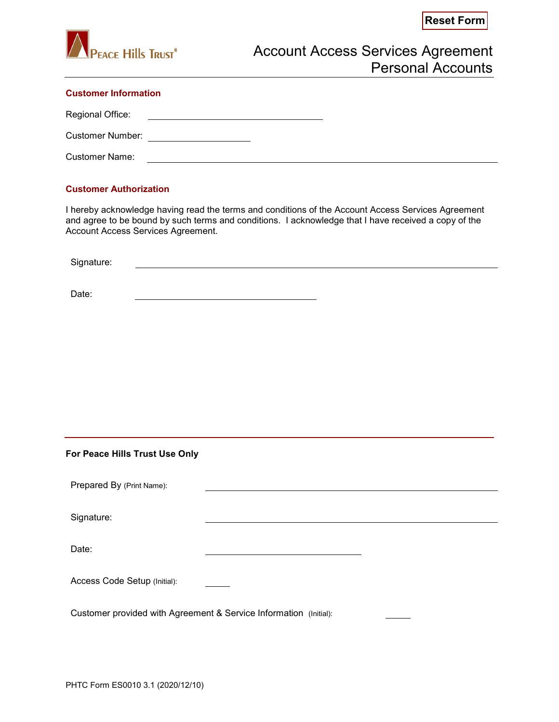

## **Customer Information**

Regional Office:

Customer Number:

Customer Name:

## **Customer Authorization**

I hereby acknowledge having read the terms and conditions of the Account Access Services Agreement and agree to be bound by such terms and conditions. I acknowledge that I have received a copy of the Account Access Services Agreement.

Signature:

Date:

## **For Peace Hills Trust Use Only**

| Prepared By (Print Name):                                         |  |  |
|-------------------------------------------------------------------|--|--|
|                                                                   |  |  |
| Signature:                                                        |  |  |
|                                                                   |  |  |
| Date:                                                             |  |  |
|                                                                   |  |  |
| Access Code Setup (Initial):                                      |  |  |
|                                                                   |  |  |
| Customer provided with Agreement & Service Information (Initial): |  |  |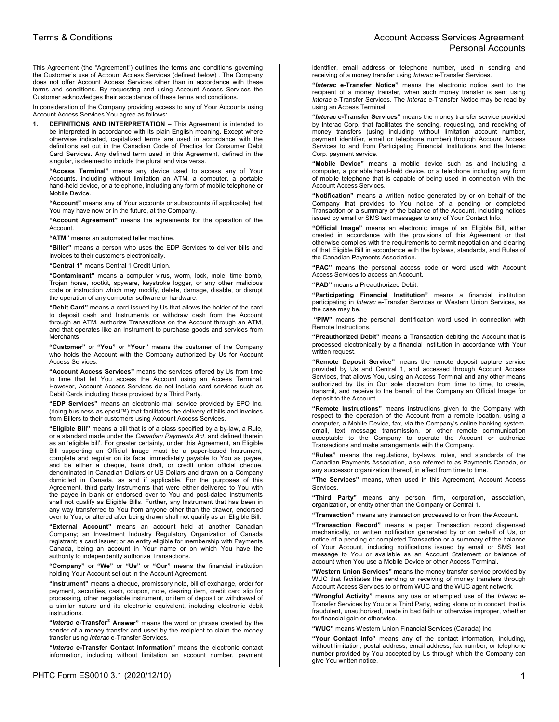This Agreement (the "Agreement") outlines the terms and conditions governing the Customer's use of Account Access Services (defined below) . The Company does not offer Account Access Services other than in accordance with these terms and conditions. By requesting and using Account Access Services the Customer acknowledges their acceptance of these terms and conditions.

In consideration of the Company providing access to any of Your Accounts using Account Access Services You agree as follows:

**DEFINITIONS AND INTERPRETATION** – This Agreement is intended to be interpreted in accordance with its plain English meaning. Except where otherwise indicated, capitalized terms are used in accordance with the definitions set out in the Canadian Code of Practice for Consumer Debit Card Services. Any defined term used in this Agreement, defined in the singular, is deemed to include the plural and vice versa.

**"Access Terminal"** means any device used to access any of Your Accounts, including without limitation an ATM, a computer, a portable hand-held device, or a telephone, including any form of mobile telephone or Mobile Device.

**"Account"** means any of Your accounts or subaccounts (if applicable) that You may have now or in the future, at the Company.

**"Account Agreement"** means the agreements for the operation of the Account.

**"ATM"** means an automated teller machine.

**"Biller"** means a person who uses the EDP Services to deliver bills and invoices to their customers electronically.

**"Central 1"** means Central 1 Credit Union.

**"Contaminant"** means a computer virus, worm, lock, mole, time bomb, Trojan horse, rootkit, spyware, keystroke logger, or any other malicious code or instruction which may modify, delete, damage, disable, or disrupt the operation of any computer software or hardware.

**"Debit Card"** means a card issued by Us that allows the holder of the card to deposit cash and Instruments or withdraw cash from the Account through an ATM, authorize Transactions on the Account through an ATM, and that operates like an Instrument to purchase goods and services from **Merchants** 

**"Customer"** or **"You"** or **"Your"** means the customer of the Company who holds the Account with the Company authorized by Us for Account Access Services.

**"Account Access Services"** means the services offered by Us from time to time that let You access the Account using an Access Terminal. However, Account Access Services do not include card services such as Debit Cards including those provided by a Third Party.

**"EDP Services"** means an electronic mail service provided by EPO Inc. (doing business as epost™) that facilitates the delivery of bills and invoices from Billers to their customers using Account Access Services.

**"Eligible Bill"** means a bill that is of a class specified by a by-law, a Rule, or a standard made under the *Canadian Payments Act*, and defined therein as an 'eligible bill'. For greater certainty, under this Agreement, an Eligible Bill supporting an Official Image must be a paper-based Instrument, complete and regular on its face, immediately payable to You as payee, and be either a cheque, bank draft, or credit union official cheque, denominated in Canadian Dollars or US Dollars and drawn on a Company domiciled in Canada, as and if applicable. For the purposes of this Agreement, third party Instruments that were either delivered to You with the payee in blank or endorsed over to You and post-dated Instruments shall not qualify as Eligible Bills. Further, any Instrument that has been in any way transferred to You from anyone other than the drawer, endorsed over to You, or altered after being drawn shall not qualify as an Eligible Bill.

**"External Account"** means an account held at another Canadian Company; an Investment Industry Regulatory Organization of Canada registrant; a card issuer; or an entity eligible for membership with Payments Canada, being an account in Your name or on which You have the authority to independently authorize Transactions.

**"Company"** or **"We"** or **"Us"** or **"Our"** means the financial institution holding Your Account set out in the Account Agreement.

**"Instrument"** means a cheque, promissory note, bill of exchange, order for payment, securities, cash, coupon, note, clearing item, credit card slip for processing, other negotiable instrument, or item of deposit or withdrawal of a similar nature and its electronic equivalent, including electronic debit instructions.

**"***Interac* **e-Transfer® Answer"** means the word or phrase created by the sender of a money transfer and used by the recipient to claim the money transfer using *Interac* e-Transfer Services.

**"***Interac* **e-Transfer Contact Information"** means the electronic contact information, including without limitation an account number, payment

identifier, email address or telephone number, used in sending and receiving of a money transfer using *Interac* e-Transfer Services.

**"***Interac* **e-Transfer Notice"** means the electronic notice sent to the recipient of a money transfer, when such money transfer is sent using *Interac* e-Transfer Services. The *Interac* e-Transfer Notice may be read by using an Access Terminal.

**"***Interac* **e-Transfer Services"** means the money transfer service provided by Interac Corp. that facilitates the sending, requesting, and receiving of money transfers (using including without limitation account number, payment identifier, email or telephone number) through Account Access Services to and from Participating Financial Institutions and the Interac Corp. payment service.

**"Mobile Device"** means a mobile device such as and including a computer, a portable hand-held device, or a telephone including any form of mobile telephone that is capable of being used in connection with the Account Access Services.

**"Notification"** means a written notice generated by or on behalf of the Company that provides to You notice of a pending or completed Transaction or a summary of the balance of the Account, including notices issued by email or SMS text messages to any of Your Contact Info.

**"Official Image"** means an electronic image of an Eligible Bill, either created in accordance with the provisions of this Agreement or that otherwise complies with the requirements to permit negotiation and clearing of that Eligible Bill in accordance with the by-laws, standards, and Rules of the Canadian Payments Association.

**"PAC"** means the personal access code or word used with Account Access Services to access an Account.

**"PAD"** means a Preauthorized Debit.

**"Participating Financial Institution"** means a financial institution participating in *Interac* e-Transfer Services or Western Union Services, as the case may be.

**"PIW"** means the personal identification word used in connection with Remote Instructions.

**"Preauthorized Debit"** means a Transaction debiting the Account that is processed electronically by a financial institution in accordance with Your written request.

**"Remote Deposit Service"** means the remote deposit capture service provided by Us and Central 1, and accessed through Account Access Services, that allows You, using an Access Terminal and any other means authorized by Us in Our sole discretion from time to time, to create, transmit, and receive to the benefit of the Company an Official Image for deposit to the Account.

**"Remote Instructions"** means instructions given to the Company with respect to the operation of the Account from a remote location, using a computer, a Mobile Device, fax, via the Company's online banking system, email, text message transmission, or other remote communication acceptable to the Company to operate the Account or authorize Transactions and make arrangements with the Company.

**"Rules"** means the regulations, by-laws, rules, and standards of the Canadian Payments Association, also referred to as Payments Canada, or any successor organization thereof, in effect from time to time.

**"The Services"** means, when used in this Agreement, Account Access Services.

**"Third Party"** means any person, firm, corporation, association, organization, or entity other than the Company or Central 1.

**"Transaction"** means any transaction processed to or from the Account.

**"Transaction Record"** means a paper Transaction record dispensed mechanically, or written notification generated by or on behalf of Us, or notice of a pending or completed Transaction or a summary of the balance of Your Account, including notifications issued by email or SMS text message to You or available as an Account Statement or balance of account when You use a Mobile Device or other Access Terminal.

**"Western Union Services"** means the money transfer service provided by WUC that facilitates the sending or receiving of money transfers through Account Access Services to or from WUC and the WUC agent network.

**"Wrongful Activity"** means any use or attempted use of the *Interac* e-Transfer Services by You or a Third Party, acting alone or in concert, that is fraudulent, unauthorized, made in bad faith or otherwise improper, whether for financial gain or otherwise.

**"WUC"** means Western Union Financial Services (Canada) Inc.

**"Your Contact Info"** means any of the contact information, including, without limitation, postal address, email address, fax number, or telephone number provided by You accepted by Us through which the Company can give You written notice.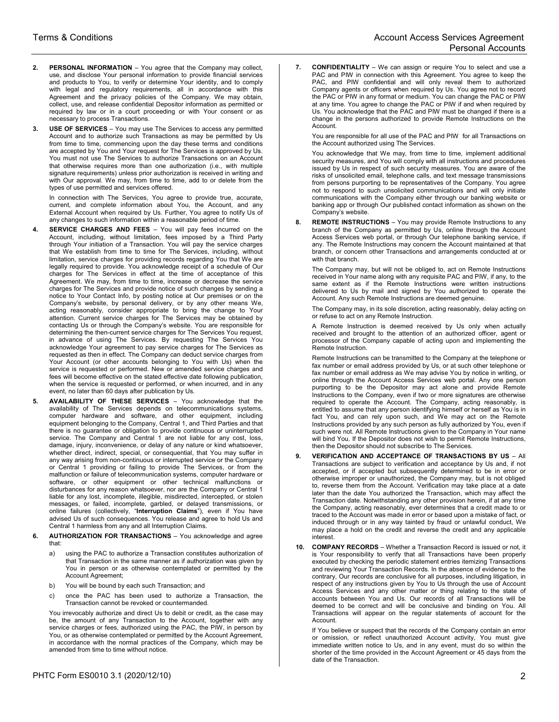- **2. PERSONAL INFORMATION** You agree that the Company may collect, use, and disclose Your personal information to provide financial services and products to You, to verify or determine Your identity, and to comply with legal and regulatory requirements, all in accordance with this Agreement and the privacy policies of the Company. We may obtain, collect, use, and release confidential Depositor information as permitted or required by law or in a court proceeding or with Your consent or as necessary to process Transactions.
- **3. USE OF SERVICES**  You may use The Services to access any permitted Account and to authorize such Transactions as may be permitted by Us from time to time, commencing upon the day these terms and conditions are accepted by You and Your request for The Services is approved by Us. You must not use The Services to authorize Transactions on an Account that otherwise requires more than one authorization (i.e., with multiple signature requirements) unless prior authorization is received in writing and with Our approval. We may, from time to time, add to or delete from the types of use permitted and services offered.

In connection with The Services, You agree to provide true, accurate, current, and complete information about You, the Account, and any External Account when required by Us. Further, You agree to notify Us of any changes to such information within a reasonable period of time.

- **4. SERVICE CHARGES AND FEES**  You will pay fees incurred on the Account, including, without limitation, fees imposed by a Third Party through Your initiation of a Transaction. You will pay the service charges that We establish from time to time for The Services, including, without limitation, service charges for providing records regarding You that We are legally required to provide. You acknowledge receipt of a schedule of Our charges for The Services in effect at the time of acceptance of this Agreement. We may, from time to time, increase or decrease the service charges for The Services and provide notice of such changes by sending a notice to Your Contact Info, by posting notice at Our premises or on the Company's website, by personal delivery, or by any other means We, acting reasonably, consider appropriate to bring the change to Your attention. Current service charges for The Services may be obtained by contacting Us or through the Company's website. You are responsible for determining the then-current service charges for The Services You request, in advance of using The Services. By requesting The Services You acknowledge Your agreement to pay service charges for The Services as requested as then in effect. The Company can deduct service charges from Your Account (or other accounts belonging to You with Us) when the service is requested or performed. New or amended service charges and fees will become effective on the stated effective date following publication, when the service is requested or performed, or when incurred, and in any event, no later than 60 days after publication by Us.
- **5. AVAILABILITY OF THESE SERVICES**  You acknowledge that the availability of The Services depends on telecommunications systems, computer hardware and software, and other equipment, including equipment belonging to the Company, Central 1, and Third Parties and that there is no guarantee or obligation to provide continuous or uninterrupted service. The Company and Central 1 are not liable for any cost, loss, damage, injury, inconvenience, or delay of any nature or kind whatsoever, whether direct, indirect, special, or consequential, that You may suffer in any way arising from non-continuous or interrupted service or the Company or Central 1 providing or failing to provide The Services, or from the malfunction or failure of telecommunication systems, computer hardware or software, or other equipment or other technical malfunctions or disturbances for any reason whatsoever, nor are the Company or Central 1 liable for any lost, incomplete, illegible, misdirected, intercepted, or stolen messages, or failed, incomplete, garbled, or delayed transmissions, or online failures (collectively, "**Interruption Claims**"), even if You have advised Us of such consequences. You release and agree to hold Us and Central 1 harmless from any and all Interruption Claims.
- **6. AUTHORIZATION FOR TRANSACTIONS**  You acknowledge and agree that:
	- a) using the PAC to authorize a Transaction constitutes authorization of that Transaction in the same manner as if authorization was given by You in person or as otherwise contemplated or permitted by the Account Agreement;
	- b) You will be bound by each such Transaction; and
	- c) once the PAC has been used to authorize a Transaction, the Transaction cannot be revoked or countermanded.

You irrevocably authorize and direct Us to debit or credit, as the case may be, the amount of any Transaction to the Account, together with any service charges or fees, authorized using the PAC, the PIW, in person by You, or as otherwise contemplated or permitted by the Account Agreement, in accordance with the normal practices of the Company, which may be amended from time to time without notice.

**7. CONFIDENTIALITY** – We can assign or require You to select and use a PAC and PIW in connection with this Agreement. You agree to keep the PAC, and PIW confidential and will only reveal them to authorized Company agents or officers when required by Us. You agree not to record the PAC or PIW in any format or medium. You can change the PAC or PIW at any time. You agree to change the PAC or PIW if and when required by Us. You acknowledge that the PAC and PIW must be changed if there is a change in the persons authorized to provide Remote Instructions on the Account.

You are responsible for all use of the PAC and PIW for all Transactions on the Account authorized using The Services.

You acknowledge that We may, from time to time, implement additional security measures, and You will comply with all instructions and procedures issued by Us in respect of such security measures. You are aware of the risks of unsolicited email, telephone calls, and text message transmissions from persons purporting to be representatives of the Company. You agree not to respond to such unsolicited communications and will only initiate communications with the Company either through our banking website or banking app or through Our published contact information as shown on the Company's website.

**8. REMOTE INSTRUCTIONS** – You may provide Remote Instructions to any branch of the Company as permitted by Us, online through the Account Access Services web portal, or through Our telephone banking service, if any. The Remote Instructions may concern the Account maintained at that branch, or concern other Transactions and arrangements conducted at or with that branch.

The Company may, but will not be obliged to, act on Remote Instructions received in Your name along with any requisite PAC and PIW, if any, to the same extent as if the Remote Instructions were written instructions delivered to Us by mail and signed by You authorized to operate the Account. Any such Remote Instructions are deemed genuine.

The Company may, in its sole discretion, acting reasonably, delay acting on or refuse to act on any Remote Instruction.

A Remote Instruction is deemed received by Us only when actually received and brought to the attention of an authorized officer, agent or processor of the Company capable of acting upon and implementing the Remote Instruction.

Remote Instructions can be transmitted to the Company at the telephone or fax number or email address provided by Us, or at such other telephone or fax number or email address as We may advise You by notice in writing, or online through the Account Access Services web portal. Any one person purporting to be the Depositor may act alone and provide Remote Instructions to the Company, even if two or more signatures are otherwise required to operate the Account. The Company, acting reasonably, is entitled to assume that any person identifying himself or herself as You is in fact You, and can rely upon such, and We may act on the Remote Instructions provided by any such person as fully authorized by You, even if such were not. All Remote Instructions given to the Company in Your name will bind You. If the Depositor does not wish to permit Remote Instructions, then the Depositor should not subscribe to The Services.

- **9. VERIFICATION AND ACCEPTANCE OF TRANSACTIONS BY US All** Transactions are subject to verification and acceptance by Us and, if not accepted, or if accepted but subsequently determined to be in error or otherwise improper or unauthorized, the Company may, but is not obliged to, reverse them from the Account. Verification may take place at a date later than the date You authorized the Transaction, which may affect the Transaction date. Notwithstanding any other provision herein, if at any time the Company, acting reasonably, ever determines that a credit made to or traced to the Account was made in error or based upon a mistake of fact, or induced through or in any way tainted by fraud or unlawful conduct, We may place a hold on the credit and reverse the credit and any applicable interest.
- **10. COMPANY RECORDS** Whether a Transaction Record is issued or not, it is Your responsibility to verify that all Transactions have been properly executed by checking the periodic statement entries itemizing Transactions and reviewing Your Transaction Records. In the absence of evidence to the contrary, Our records are conclusive for all purposes, including litigation, in respect of any instructions given by You to Us through the use of Account Access Services and any other matter or thing relating to the state of accounts between You and Us. Our records of all Transactions will be deemed to be correct and will be conclusive and binding on You. All Transactions will appear on the regular statements of account for the Account.

If You believe or suspect that the records of the Company contain an error or omission, or reflect unauthorized Account activity, You must give immediate written notice to Us, and in any event, must do so within the shorter of the time provided in the Account Agreement or 45 days from the date of the Transaction.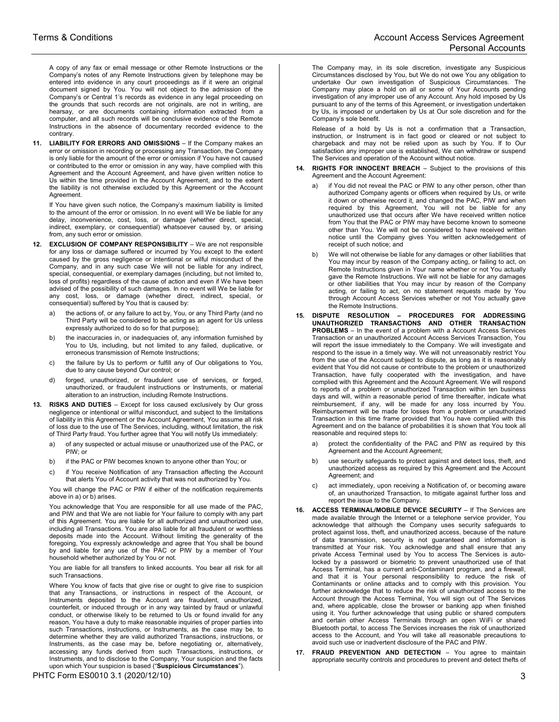A copy of any fax or email message or other Remote Instructions or the Company's notes of any Remote Instructions given by telephone may be entered into evidence in any court proceedings as if it were an original document signed by You. You will not object to the admission of the Company's or Central 1's records as evidence in any legal proceeding on the grounds that such records are not originals, are not in writing, are hearsay, or are documents containing information extracted from a computer, and all such records will be conclusive evidence of the Remote Instructions in the absence of documentary recorded evidence to the contrary.

**11. LIABILITY FOR ERRORS AND OMISSIONS** – If the Company makes an error or omission in recording or processing any Transaction, the Company is only liable for the amount of the error or omission if You have not caused or contributed to the error or omission in any way, have complied with this Agreement and the Account Agreement, and have given written notice to Us within the time provided in the Account Agreement, and to the extent the liability is not otherwise excluded by this Agreement or the Account Agreement.

If You have given such notice, the Company's maximum liability is limited to the amount of the error or omission. In no event will We be liable for any delay, inconvenience, cost, loss, or damage (whether direct, special, indirect, exemplary, or consequential) whatsoever caused by, or arising from, any such error or omission.

- **12. EXCLUSION OF COMPANY RESPONSIBILITY**  We are not responsible for any loss or damage suffered or incurred by You except to the extent caused by the gross negligence or intentional or wilful misconduct of the Company, and in any such case We will not be liable for any indirect, special, consequential, or exemplary damages (including, but not limited to, loss of profits) regardless of the cause of action and even if We have been advised of the possibility of such damages. In no event will We be liable for any cost, loss, or damage (whether direct, indirect, special, or consequential) suffered by You that is caused by:
	- a) the actions of, or any failure to act by, You, or any Third Party (and no Third Party will be considered to be acting as an agent for Us unless expressly authorized to do so for that purpose);
	- b) the inaccuracies in, or inadequacies of, any information furnished by You to Us, including, but not limited to any failed, duplicative, or erroneous transmission of Remote Instructions;
	- c) the failure by Us to perform or fulfill any of Our obligations to You, due to any cause beyond Our control; or
	- d) forged, unauthorized, or fraudulent use of services, or forged, unauthorized, or fraudulent instructions or Instruments, or material alteration to an instruction, including Remote Instructions.
- **13. RISKS AND DUTIES**  Except for loss caused exclusively by Our gross negligence or intentional or wilful misconduct, and subject to the limitations of liability in this Agreement or the Account Agreement, You assume all risk of loss due to the use of The Services, including, without limitation, the risk of Third Party fraud. You further agree that You will notify Us immediately:
	- a) of any suspected or actual misuse or unauthorized use of the PAC, or PIW; or
	- b) if the PAC or PIW becomes known to anyone other than You; or
	- c) if You receive Notification of any Transaction affecting the Account that alerts You of Account activity that was not authorized by You.

You will change the PAC or PIW if either of the notification requirements above in a) or b) arises.

You acknowledge that You are responsible for all use made of the PAC, and PIW and that We are not liable for Your failure to comply with any part of this Agreement. You are liable for all authorized and unauthorized use, including all Transactions. You are also liable for all fraudulent or worthless deposits made into the Account. Without limiting the generality of the foregoing, You expressly acknowledge and agree that You shall be bound by and liable for any use of the PAC or PIW by a member of Your household whether authorized by You or not.

You are liable for all transfers to linked accounts. You bear all risk for all such Transactions.

Where You know of facts that give rise or ought to give rise to suspicion that any Transactions, or instructions in respect of the Account, or Instruments deposited to the Account are fraudulent, unauthorized, counterfeit, or induced through or in any way tainted by fraud or unlawful conduct, or otherwise likely to be returned to Us or found invalid for any reason, You have a duty to make reasonable inquiries of proper parties into such Transactions, instructions, or Instruments, as the case may be, to determine whether they are valid authorized Transactions, instructions, or Instruments, as the case may be, before negotiating or, alternatively, accessing any funds derived from such Transactions, instructions, or Instruments, and to disclose to the Company, Your suspicion and the facts upon which Your suspicion is based ("**Suspicious Circumstances**").

The Company may, in its sole discretion, investigate any Suspicious Circumstances disclosed by You, but We do not owe You any obligation to undertake Our own investigation of Suspicious Circumstances. The Company may place a hold on all or some of Your Accounts pending investigation of any improper use of any Account. Any hold imposed by Us pursuant to any of the terms of this Agreement, or investigation undertaken by Us, is imposed or undertaken by Us at Our sole discretion and for the Company's sole benefit.

Release of a hold by Us is not a confirmation that a Transaction, instruction, or Instrument is in fact good or cleared or not subject to chargeback and may not be relied upon as such by You. If to Our satisfaction any improper use is established, We can withdraw or suspend The Services and operation of the Account without notice.

- **14. RIGHTS FOR INNOCENT BREACH**  Subject to the provisions of this Agreement and the Account Agreement:
	- if You did not reveal the PAC or PIW to any other person, other than authorized Company agents or officers when required by Us, or write it down or otherwise record it, and changed the PAC, PIW and when required by this Agreement, You will not be liable for any unauthorized use that occurs after We have received written notice from You that the PAC or PIW may have become known to someone other than You. We will not be considered to have received written notice until the Company gives You written acknowledgement of receipt of such notice; and
	- We will not otherwise be liable for any damages or other liabilities that You may incur by reason of the Company acting, or failing to act, on Remote Instructions given in Your name whether or not You actually gave the Remote Instructions. We will not be liable for any damages or other liabilities that You may incur by reason of the Company acting, or failing to act, on no statement requests made by You through Account Access Services whether or not You actually gave the Remote Instructions.
- **15. DISPUTE RESOLUTION PROCEDURES FOR ADDRESSING UNAUTHORIZED TRANSACTIONS AND OTHER TRANSACTION PROBLEMS** – In the event of a problem with a Account Access Services Transaction or an unauthorized Account Access Services Transaction, You will report the issue immediately to the Company. We will investigate and respond to the issue in a timely way. We will not unreasonably restrict You from the use of the Account subject to dispute, as long as it is reasonably evident that You did not cause or contribute to the problem or unauthorized Transaction, have fully cooperated with the investigation, and have complied with this Agreement and the Account Agreement. We will respond to reports of a problem or unauthorized Transaction within ten business days and will, within a reasonable period of time thereafter, indicate what reimbursement, if any, will be made for any loss incurred by You. Reimbursement will be made for losses from a problem or unauthorized Transaction in this time frame provided that You have complied with this Agreement and on the balance of probabilities it is shown that You took all reasonable and required steps to:
	- a) protect the confidentiality of the PAC and PIW as required by this Agreement and the Account Agreement;
	- b) use security safeguards to protect against and detect loss, theft, and unauthorized access as required by this Agreement and the Account Agreement; and
	- c) act immediately, upon receiving a Notification of, or becoming aware of, an unauthorized Transaction, to mitigate against further loss and report the issue to the Company.
- **16. ACCESS TERMINAL/MOBILE DEVICE SECURITY**  If The Services are made available through the Internet or a telephone service provider, You acknowledge that although the Company uses security safeguards to protect against loss, theft, and unauthorized access, because of the nature of data transmission, security is not guaranteed and information is transmitted at Your risk. You acknowledge and shall ensure that any private Access Terminal used by You to access The Services is autolocked by a password or biometric to prevent unauthorized use of that Access Terminal, has a current anti-Contaminant program, and a firewall, and that it is Your personal responsibility to reduce the risk of Contaminants or online attacks and to comply with this provision. You further acknowledge that to reduce the risk of unauthorized access to the Account through the Access Terminal, You will sign out of The Services and, where applicable, close the browser or banking app when finished using it. You further acknowledge that using public or shared computers and certain other Access Terminals through an open WiFi or shared Bluetooth portal, to access The Services increases the risk of unauthorized access to the Account, and You will take all reasonable precautions to avoid such use or inadvertent disclosure of the PAC and PIW.
- **17. FRAUD PREVENTION AND DETECTION**  You agree to maintain appropriate security controls and procedures to prevent and detect thefts of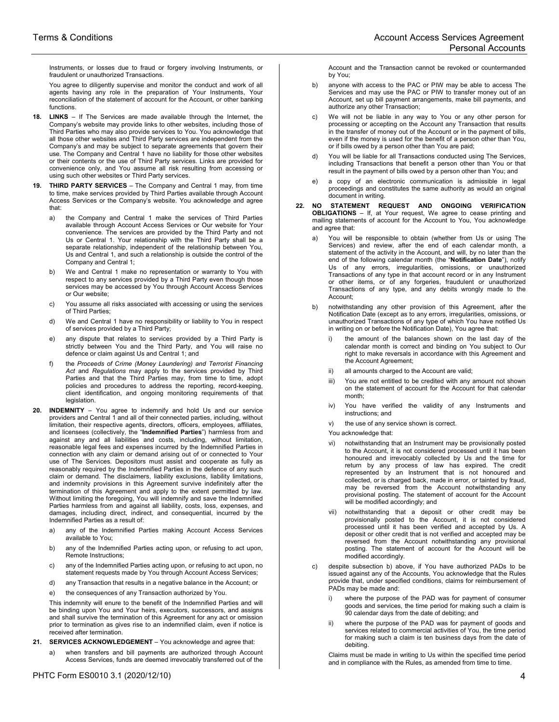Instruments, or losses due to fraud or forgery involving Instruments, or fraudulent or unauthorized Transactions.

You agree to diligently supervise and monitor the conduct and work of all agents having any role in the preparation of Your Instruments, Your reconciliation of the statement of account for the Account, or other banking functions.

- **18. LINKS**  If The Services are made available through the Internet, the Company's website may provide links to other websites, including those of Third Parties who may also provide services to You. You acknowledge that all those other websites and Third Party services are independent from the Company's and may be subject to separate agreements that govern their use. The Company and Central 1 have no liability for those other websites or their contents or the use of Third Party services. Links are provided for convenience only, and You assume all risk resulting from accessing or using such other websites or Third Party services.
- **19. THIRD PARTY SERVICES** The Company and Central 1 may, from time to time, make services provided by Third Parties available through Account Access Services or the Company's website. You acknowledge and agree that:
	- a) the Company and Central 1 make the services of Third Parties available through Account Access Services or Our website for Your convenience. The services are provided by the Third Party and not Us or Central 1. Your relationship with the Third Party shall be a separate relationship, independent of the relationship between You, Us and Central 1, and such a relationship is outside the control of the Company and Central 1;
	- b) We and Central 1 make no representation or warranty to You with respect to any services provided by a Third Party even though those services may be accessed by You through Account Access Services or Our website;
	- c) You assume all risks associated with accessing or using the services of Third Parties;
	- d) We and Central 1 have no responsibility or liability to You in respect of services provided by a Third Party;
	- e) any dispute that relates to services provided by a Third Party is strictly between You and the Third Party, and You will raise no defence or claim against Us and Central 1; and
	- f) the *Proceeds of Crime (Money Laundering) and Terrorist Financing Act* and *Regulations* may apply to the services provided by Third Parties and that the Third Parties may, from time to time, adopt policies and procedures to address the reporting, record-keeping, client identification, and ongoing monitoring requirements of that legislation.
- **20. INDEMNITY**  You agree to indemnify and hold Us and our service providers and Central 1 and all of their connected parties, including, without limitation, their respective agents, directors, officers, employees, affiliates, and licensees (collectively, the "**Indemnified Parties**") harmless from and against any and all liabilities and costs, including, without limitation, reasonable legal fees and expenses incurred by the Indemnified Parties in connection with any claim or demand arising out of or connected to Your use of The Services. Depositors must assist and cooperate as fully as reasonably required by the Indemnified Parties in the defence of any such claim or demand. The disclaimers, liability exclusions, liability limitations, and indemnity provisions in this Agreement survive indefinitely after the termination of this Agreement and apply to the extent permitted by law. Without limiting the foregoing, You will indemnify and save the Indemnified Parties harmless from and against all liability, costs, loss, expenses, and damages, including direct, indirect, and consequential, incurred by the Indemnified Parties as a result of:
	- a) any of the Indemnified Parties making Account Access Services available to You;
	- b) any of the Indemnified Parties acting upon, or refusing to act upon, Remote Instructions;
	- c) any of the Indemnified Parties acting upon, or refusing to act upon, no statement requests made by You through Account Access Services;
	- d) any Transaction that results in a negative balance in the Account; or
	- e) the consequences of any Transaction authorized by You.

This indemnity will enure to the benefit of the Indemnified Parties and will be binding upon You and Your heirs, executors, successors, and assigns and shall survive the termination of this Agreement for any act or omission prior to termination as gives rise to an indemnified claim, even if notice is received after termination.

- **21. SERVICES ACKNOWLEDGEMENT**  You acknowledge and agree that:
	- a) when transfers and bill payments are authorized through Account Access Services, funds are deemed irrevocably transferred out of the

Account and the Transaction cannot be revoked or countermanded by You;

- b) anyone with access to the PAC or PIW may be able to access The Services and may use the PAC or PIW to transfer money out of an Account, set up bill payment arrangements, make bill payments, and authorize any other Transaction;
- c) We will not be liable in any way to You or any other person for processing or accepting on the Account any Transaction that results in the transfer of money out of the Account or in the payment of bills, even if the money is used for the benefit of a person other than You, or if bills owed by a person other than You are paid;
- You will be liable for all Transactions conducted using The Services, including Transactions that benefit a person other than You or that result in the payment of bills owed by a person other than You; and
- e) a copy of an electronic communication is admissible in legal proceedings and constitutes the same authority as would an original document in writing.
- **22. NO STATEMENT REQUEST AND ONGOING VERIFICATION OBLIGATIONS** – If, at Your request, We agree to cease printing and mailing statements of account for the Account to You, You acknowledge and agree that:
	- You will be responsible to obtain (whether from Us or using The Services) and review, after the end of each calendar month, a statement of the activity in the Account, and will, by no later than the end of the following calendar month (the "**Notification Date**"), notify Us of any errors, irregularities, omissions, or unauthorized Transactions of any type in that account record or in any Instrument or other items, or of any forgeries, fraudulent or unauthorized Transactions of any type, and any debits wrongly made to the Account;
	- b) notwithstanding any other provision of this Agreement, after the Notification Date (except as to any errors, irregularities, omissions, or unauthorized Transactions of any type of which You have notified Us in writing on or before the Notification Date), You agree that:
		- the amount of the balances shown on the last day of the calendar month is correct and binding on You subject to Our right to make reversals in accordance with this Agreement and the Account Agreement;
		- ii) all amounts charged to the Account are valid:
		- iii) You are not entitled to be credited with any amount not shown on the statement of account for the Account for that calendar month;
		- iv) You have verified the validity of any Instruments and instructions; and
		- v) the use of any service shown is correct.
		- You acknowledge that:
		- vi) notwithstanding that an Instrument may be provisionally posted to the Account, it is not considered processed until it has been honoured and irrevocably collected by Us and the time for return by any process of law has expired. The credit represented by an Instrument that is not honoured and collected, or is charged back, made in error, or tainted by fraud, may be reversed from the Account notwithstanding any provisional posting. The statement of account for the Account will be modified accordingly; and
		- vii) notwithstanding that a deposit or other credit may be provisionally posted to the Account, it is not considered processed until it has been verified and accepted by Us. A deposit or other credit that is not verified and accepted may be reversed from the Account notwithstanding any provisional posting. The statement of account for the Account will be modified accordingly.
	- c) despite subsection b) above, if You have authorized PADs to be issued against any of the Accounts, You acknowledge that the Rules provide that, under specified conditions, claims for reimbursement of PADs may be made and:
		- where the purpose of the PAD was for payment of consumer goods and services, the time period for making such a claim is 90 calendar days from the date of debiting; and
		- ii) where the purpose of the PAD was for payment of goods and services related to commercial activities of You, the time period for making such a claim is ten business days from the date of debiting.

Claims must be made in writing to Us within the specified time period and in compliance with the Rules, as amended from time to time.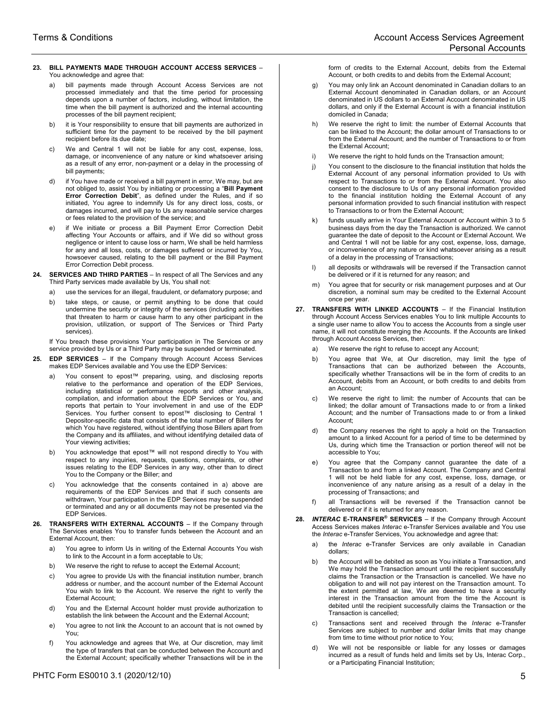## **23. BILL PAYMENTS MADE THROUGH ACCOUNT ACCESS SERVICES** – You acknowledge and agree that:

- a) bill payments made through Account Access Services are not processed immediately and that the time period for processing depends upon a number of factors, including, without limitation, the time when the bill payment is authorized and the internal accounting processes of the bill payment recipient;
- b) it is Your responsibility to ensure that bill payments are authorized in sufficient time for the payment to be received by the bill payment recipient before its due date;
- c) We and Central 1 will not be liable for any cost, expense, loss, damage, or inconvenience of any nature or kind whatsoever arising as a result of any error, non-payment or a delay in the processing of bill payments;
- d) if You have made or received a bill payment in error, We may, but are not obliged to, assist You by initiating or processing a "**Bill Payment Error Correction Debit**", as defined under the Rules, and if so initiated, You agree to indemnify Us for any direct loss, costs, or damages incurred, and will pay to Us any reasonable service charges or fees related to the provision of the service; and
- if We initiate or process a Bill Payment Error Correction Debit affecting Your Accounts or affairs, and if We did so without gross negligence or intent to cause loss or harm, We shall be held harmless for any and all loss, costs, or damages suffered or incurred by You, howsoever caused, relating to the bill payment or the Bill Payment Error Correction Debit process.
- **24. SERVICES AND THIRD PARTIES**  In respect of all The Services and any Third Party services made available by Us, You shall not:
	- a) use the services for an illegal, fraudulent, or defamatory purpose; and
	- b) take steps, or cause, or permit anything to be done that could undermine the security or integrity of the services (including activities that threaten to harm or cause harm to any other participant in the provision, utilization, or support of The Services or Third Party services).

If You breach these provisions Your participation in The Services or any service provided by Us or a Third Party may be suspended or terminated.

- **25. EDP SERVICES**  If the Company through Account Access Services makes EDP Services available and You use the EDP Services:
	- a) You consent to epost™ preparing, using, and disclosing reports relative to the performance and operation of the EDP Services, including statistical or performance reports and other analysis, compilation, and information about the EDP Services or You, and reports that pertain to Your involvement in and use of the EDP Services. You further consent to epost™ disclosing to Central 1 Depositor-specific data that consists of the total number of Billers for which You have registered, without identifying those Billers apart from the Company and its affiliates, and without identifying detailed data of Your viewing activities;
	- b) You acknowledge that epost™ will not respond directly to You with respect to any inquiries, requests, questions, complaints, or other issues relating to the EDP Services in any way, other than to direct You to the Company or the Biller; and
	- c) You acknowledge that the consents contained in a) above are requirements of the EDP Services and that if such consents are withdrawn, Your participation in the EDP Services may be suspended or terminated and any or all documents may not be presented via the EDP Services.
- **26. TRANSFERS WITH EXTERNAL ACCOUNTS**  If the Company through The Services enables You to transfer funds between the Account and an External Account, then:
	- a) You agree to inform Us in writing of the External Accounts You wish to link to the Account in a form acceptable to Us;
	- b) We reserve the right to refuse to accept the External Account;
	- c) You agree to provide Us with the financial institution number, branch address or number, and the account number of the External Account You wish to link to the Account. We reserve the right to verify the External Account;
	- d) You and the External Account holder must provide authorization to establish the link between the Account and the External Account;
	- e) You agree to not link the Account to an account that is not owned by You;
	- f) You acknowledge and agrees that We, at Our discretion, may limit the type of transfers that can be conducted between the Account and the External Account; specifically whether Transactions will be in the

form of credits to the External Account, debits from the External Account, or both credits to and debits from the External Account;

- g) You may only link an Account denominated in Canadian dollars to an External Account denominated in Canadian dollars, or an Account denominated in US dollars to an External Account denominated in US dollars, and only if the External Account is with a financial institution domiciled in Canada;
- h) We reserve the right to limit: the number of External Accounts that can be linked to the Account; the dollar amount of Transactions to or from the External Account; and the number of Transactions to or from the External Account;
- i) We reserve the right to hold funds on the Transaction amount;
- j) You consent to the disclosure to the financial institution that holds the External Account of any personal information provided to Us with respect to Transactions to or from the External Account. You also consent to the disclosure to Us of any personal information provided to the financial institution holding the External Account of any personal information provided to such financial institution with respect to Transactions to or from the External Account;
- funds usually arrive in Your External Account or Account within 3 to 5 business days from the day the Transaction is authorized. We cannot guarantee the date of deposit to the Account or External Account. We and Central 1 will not be liable for any cost, expense, loss, damage, or inconvenience of any nature or kind whatsoever arising as a result of a delay in the processing of Transactions;
- l) all deposits or withdrawals will be reversed if the Transaction cannot be delivered or if it is returned for any reason; and
- m) You agree that for security or risk management purposes and at Our discretion, a nominal sum may be credited to the External Account once per year.
- **27. TRANSFERS WITH LINKED ACCOUNTS**  If the Financial Institution through Account Access Services enables You to link multiple Accounts to a single user name to allow You to access the Accounts from a single user name, it will not constitute merging the Accounts. If the Accounts are linked through Account Access Services, then:
	- a) We reserve the right to refuse to accept any Account;
	- b) You agree that We, at Our discretion, may limit the type of Transactions that can be authorized between the Accounts, specifically whether Transactions will be in the form of credits to an Account, debits from an Account, or both credits to and debits from an Account;
	- c) We reserve the right to limit: the number of Accounts that can be linked; the dollar amount of Transactions made to or from a linked Account; and the number of Transactions made to or from a linked Account;
	- the Company reserves the right to apply a hold on the Transaction amount to a linked Account for a period of time to be determined by Us, during which time the Transaction or portion thereof will not be accessible to You;
	- e) You agree that the Company cannot guarantee the date of a Transaction to and from a linked Account. The Company and Central 1 will not be held liable for any cost, expense, loss, damage, or inconvenience of any nature arising as a result of a delay in the processing of Transactions; and
	- f) all Transactions will be reversed if the Transaction cannot be delivered or if it is returned for any reason.
- **28.** *INTERAC* **E-TRANSFER® SERVICES**  If the Company through Account Access Services makes *Interac* e-Transfer Services available and You use the *Interac* e-Transfer Services, You acknowledge and agree that:
	- a) the *Interac* e-Transfer Services are only available in Canadian dollars;
	- b) the Account will be debited as soon as You initiate a Transaction, and We may hold the Transaction amount until the recipient successfully claims the Transaction or the Transaction is cancelled. We have no obligation to and will not pay interest on the Transaction amount. To the extent permitted at law, We are deemed to have a security interest in the Transaction amount from the time the Account is debited until the recipient successfully claims the Transaction or the Transaction is cancelled;
	- c) Transactions sent and received through the *Interac* e-Transfer Services are subject to number and dollar limits that may change from time to time without prior notice to You;
	- d) We will not be responsible or liable for any losses or damages incurred as a result of funds held and limits set by Us, Interac Corp., or a Participating Financial Institution;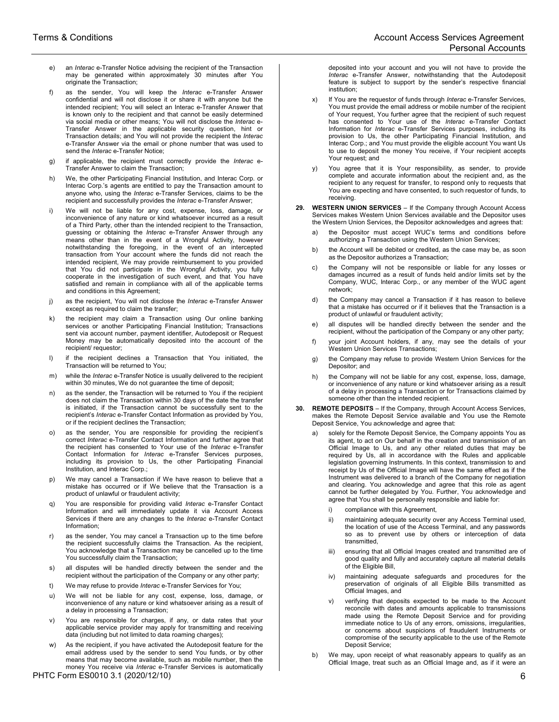- e) an *Interac* e-Transfer Notice advising the recipient of the Transaction may be generated within approximately 30 minutes after You originate the Transaction;
- f) as the sender, You will keep the *Interac* e-Transfer Answer confidential and will not disclose it or share it with anyone but the intended recipient; You will select an Interac e-Transfer Answer that is known only to the recipient and that cannot be easily determined via social media or other means; You will not disclose the *Interac* e-Transfer Answer in the applicable security question, hint or Transaction details; and You will not provide the recipient the *Interac* e-Transfer Answer via the email or phone number that was used to send the *Interac* e-Transfer Notice;
- g) if applicable, the recipient must correctly provide the *Interac* e-Transfer Answer to claim the Transaction;
- h) We, the other Participating Financial Institution, and Interac Corp. or Interac Corp.'s agents are entitled to pay the Transaction amount to anyone who, using the *Interac* e-Transfer Services, claims to be the recipient and successfully provides the *Interac* e-Transfer Answer;
- i) We will not be liable for any cost, expense, loss, damage, or inconvenience of any nature or kind whatsoever incurred as a result of a Third Party, other than the intended recipient to the Transaction, guessing or obtaining the *Interac* e-Transfer Answer through any means other than in the event of a Wrongful Activity, however notwithstanding the foregoing, in the event of an intercepted transaction from Your account where the funds did not reach the intended recipient, We may provide reimbursement to you provided that You did not participate in the Wrongful Activity, you fully cooperate in the investigation of such event, and that You have satisfied and remain in compliance with all of the applicable terms and conditions in this Agreement;
- j) as the recipient, You will not disclose the *Interac* e-Transfer Answer except as required to claim the transfer;
- k) the recipient may claim a Transaction using Our online banking services or another Participating Financial Institution; Transactions sent via account number, payment identifier, Autodeposit or Request Money may be automatically deposited into the account of the recipient/ requestor;
- l) if the recipient declines a Transaction that You initiated, the Transaction will be returned to You;
- m) while the *Interac* e-Transfer Notice is usually delivered to the recipient within 30 minutes, We do not guarantee the time of deposit;
- n) as the sender, the Transaction will be returned to You if the recipient does not claim the Transaction within 30 days of the date the transfer is initiated, if the Transaction cannot be successfully sent to the recipient's *Interac* e-Transfer Contact Information as provided by You, or if the recipient declines the Transaction;
- o) as the sender, You are responsible for providing the recipient's correct *Interac* e-Transfer Contact Information and further agree that the recipient has consented to Your use of the *Interac* e-Transfer Contact Information for *Interac* e-Transfer Services purposes, including its provision to Us, the other Participating Financial Institution, and Interac Corp.;
- p) We may cancel a Transaction if We have reason to believe that a mistake has occurred or if We believe that the Transaction is a product of unlawful or fraudulent activity;
- q) You are responsible for providing valid *Interac* e-Transfer Contact Information and will immediately update it via Account Access Services if there are any changes to the *Interac* e-Transfer Contact Information;
- r) as the sender, You may cancel a Transaction up to the time before the recipient successfully claims the Transaction. As the recipient, You acknowledge that a Transaction may be cancelled up to the time You successfully claim the Transaction;
- s) all disputes will be handled directly between the sender and the recipient without the participation of the Company or any other party;
- t) We may refuse to provide *Interac* e-Transfer Services for You;
- u) We will not be liable for any cost, expense, loss, damage, or inconvenience of any nature or kind whatsoever arising as a result of a delay in processing a Transaction;
- v) You are responsible for charges, if any, or data rates that your applicable service provider may apply for transmitting and receiving data (including but not limited to data roaming charges);
- w) As the recipient, if you have activated the Autodeposit feature for the email address used by the sender to send You funds, or by other means that may become available, such as mobile number, then the money You receive via *Interac* e-Transfer Services is automatically

PHTC Form ES0010 3.1 (2020/12/10) 6

deposited into your account and you will not have to provide the *Interac* e-Transfer Answer, notwithstanding that the Autodeposit feature is subject to support by the sender's respective financial institution;

- x) If You are the requestor of funds through *Interac* e-Transfer Services, You must provide the email address or mobile number of the recipient of Your request, You further agree that the recipient of such request has consented to Your use of the *Interac* e-Transfer Contact Information for *Interac* e-Transfer Services purposes, including its provision to Us, the other Participating Financial Institution, and Interac Corp.; and You must provide the eligible account You want Us to use to deposit the money You receive, if Your recipient accepts Your request; and
- y) You agree that it is Your responsibility, as sender, to provide complete and accurate information about the recipient and, as the recipient to any request for transfer, to respond only to requests that You are expecting and have consented, to such requestor of funds, to receiving.
- **29. WESTERN UNION SERVICES**  If the Company through Account Access Services makes Western Union Services available and the Depositor uses the Western Union Services, the Depositor acknowledges and agrees that:
	- a) the Depositor must accept WUC's terms and conditions before authorizing a Transaction using the Western Union Services;
	- b) the Account will be debited or credited, as the case may be, as soon as the Depositor authorizes a Transaction;
	- c) the Company will not be responsible or liable for any losses or damages incurred as a result of funds held and/or limits set by the Company, WUC, Interac Corp., or any member of the WUC agent network;
	- d) the Company may cancel a Transaction if it has reason to believe that a mistake has occurred or if it believes that the Transaction is a product of unlawful or fraudulent activity;
	- e) all disputes will be handled directly between the sender and the recipient, without the participation of the Company or any other party;
	- f) your joint Account holders, if any, may see the details of your Western Union Services Transactions;
	- g) the Company may refuse to provide Western Union Services for the Depositor; and
	- h) the Company will not be liable for any cost, expense, loss, damage, or inconvenience of any nature or kind whatsoever arising as a result of a delay in processing a Transaction or for Transactions claimed by someone other than the intended recipient.
- **30. REMOTE DEPOSITS**  If the Company, through Account Access Services, makes the Remote Deposit Service available and You use the Remote Deposit Service, You acknowledge and agree that:
	- solely for the Remote Deposit Service, the Company appoints You as its agent, to act on Our behalf in the creation and transmission of an Official Image to Us, and any other related duties that may be required by Us, all in accordance with the Rules and applicable legislation governing Instruments. In this context, transmission to and receipt by Us of the Official Image will have the same effect as if the Instrument was delivered to a branch of the Company for negotiation and clearing. You acknowledge and agree that this role as agent cannot be further delegated by You. Further, You acknowledge and agree that You shall be personally responsible and liable for:
		- i) compliance with this Agreement,
		- ii) maintaining adequate security over any Access Terminal used, the location of use of the Access Terminal, and any passwords so as to prevent use by others or interception of data transmitted,
		- iii) ensuring that all Official Images created and transmitted are of good quality and fully and accurately capture all material details of the Eligible Bill,
		- iv) maintaining adequate safeguards and procedures for the preservation of originals of all Eligible Bills transmitted as Official Images, and
		- v) verifying that deposits expected to be made to the Account reconcile with dates and amounts applicable to transmissions made using the Remote Deposit Service and for providing immediate notice to Us of any errors, omissions, irregularities, or concerns about suspicions of fraudulent Instruments or compromise of the security applicable to the use of the Remote Deposit Service;
	- b) We may, upon receipt of what reasonably appears to qualify as an Official Image, treat such as an Official Image and, as if it were an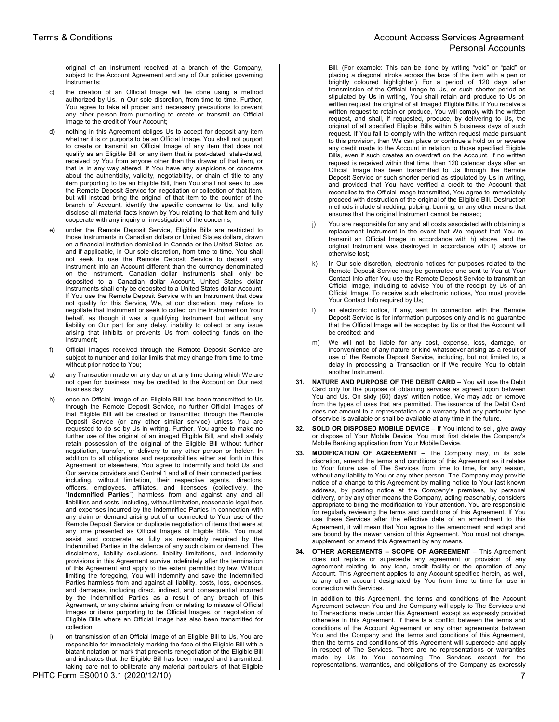original of an Instrument received at a branch of the Company, subject to the Account Agreement and any of Our policies governing Instruments;

- c) the creation of an Official Image will be done using a method authorized by Us, in Our sole discretion, from time to time. Further, You agree to take all proper and necessary precautions to prevent any other person from purporting to create or transmit an Official Image to the credit of Your Account;
- nothing in this Agreement obliges Us to accept for deposit any item whether it is or purports to be an Official Image. You shall not purport to create or transmit an Official Image of any item that does not qualify as an Eligible Bill or any item that is post-dated, stale-dated, received by You from anyone other than the drawer of that item, or that is in any way altered. If You have any suspicions or concerns about the authenticity, validity, negotiability, or chain of title to any item purporting to be an Eligible Bill, then You shall not seek to use the Remote Deposit Service for negotiation or collection of that item, but will instead bring the original of that item to the counter of the branch of Account, identify the specific concerns to Us, and fully disclose all material facts known by You relating to that item and fully cooperate with any inquiry or investigation of the concerns;
- e) under the Remote Deposit Service, Eligible Bills are restricted to those Instruments in Canadian dollars or United States dollars, drawn on a financial institution domiciled in Canada or the United States, as and if applicable, in Our sole discretion, from time to time. You shall not seek to use the Remote Deposit Service to deposit any Instrument into an Account different than the currency denominated on the Instrument. Canadian dollar Instruments shall only be deposited to a Canadian dollar Account. United States dollar Instruments shall only be deposited to a United States dollar Account. If You use the Remote Deposit Service with an Instrument that does not qualify for this Service, We, at our discretion, may refuse to negotiate that Instrument or seek to collect on the instrument on Your behalf, as though it was a qualifying Instrument but without any liability on Our part for any delay, inability to collect or any issue arising that inhibits or prevents Us from collecting funds on the Instrument;
- f) Official Images received through the Remote Deposit Service are subject to number and dollar limits that may change from time to time without prior notice to You;
- g) any Transaction made on any day or at any time during which We are not open for business may be credited to the Account on Our next business day;
- h) once an Official Image of an Eligible Bill has been transmitted to Us through the Remote Deposit Service, no further Official Images of that Eligible Bill will be created or transmitted through the Remote Deposit Service (or any other similar service) unless You are requested to do so by Us in writing. Further, You agree to make no further use of the original of an imaged Eligible Bill, and shall safely retain possession of the original of the Eligible Bill without further negotiation, transfer, or delivery to any other person or holder. In addition to all obligations and responsibilities either set forth in this Agreement or elsewhere, You agree to indemnify and hold Us and Our service providers and Central 1 and all of their connected parties, including, without limitation, their respective agents, directors, officers, employees, affiliates, and licensees (collectively, the "**Indemnified Parties**") harmless from and against any and all liabilities and costs, including, without limitation, reasonable legal fees and expenses incurred by the Indemnified Parties in connection with any claim or demand arising out of or connected to Your use of the Remote Deposit Service or duplicate negotiation of items that were at any time presented as Official Images of Eligible Bills. You must assist and cooperate as fully as reasonably required by the Indemnified Parties in the defence of any such claim or demand. The disclaimers, liability exclusions, liability limitations, and indemnity provisions in this Agreement survive indefinitely after the termination of this Agreement and apply to the extent permitted by law. Without limiting the foregoing, You will indemnify and save the Indemnified Parties harmless from and against all liability, costs, loss, expenses, and damages, including direct, indirect, and consequential incurred by the Indemnified Parties as a result of any breach of this Agreement, or any claims arising from or relating to misuse of Official Images or items purporting to be Official Images, or negotiation of Eligible Bills where an Official Image has also been transmitted for collection;
- i) on transmission of an Official Image of an Eligible Bill to Us, You are responsible for immediately marking the face of the Eligible Bill with a blatant notation or mark that prevents renegotiation of the Eligible Bill and indicates that the Eligible Bill has been imaged and transmitted, taking care not to obliterate any material particulars of that Eligible

PHTC Form ES0010 3.1 (2020/12/10) 22 22:00 23:00 23:00 23:00 24:00 25:00 25:00 25:00 25:00 25:00 25:00 25:00 25:00 25:00 25:00 25:00 25:00 25:00 25:00 25:00 25:00 25:00 25:00 25:00 25:00 25:00 25:00 25:00 25:00 25:00 25:00

Bill. (For example: This can be done by writing "void" or "paid" or placing a diagonal stroke across the face of the item with a pen or brightly coloured highlighter.) For a period of 120 days after transmission of the Official Image to Us, or such shorter period as stipulated by Us in writing, You shall retain and produce to Us on written request the original of all imaged Eligible Bills. If You receive a written request to retain or produce, You will comply with the written request, and shall, if requested, produce, by delivering to Us, the original of all specified Eligible Bills within 5 business days of such request. If You fail to comply with the written request made pursuant to this provision, then We can place or continue a hold on or reverse any credit made to the Account in relation to those specified Eligible Bills, even if such creates an overdraft on the Account. If no written request is received within that time, then 120 calendar days after an Official Image has been transmitted to Us through the Remote Deposit Service or such shorter period as stipulated by Us in writing, and provided that You have verified a credit to the Account that reconciles to the Official Image transmitted, You agree to immediately proceed with destruction of the original of the Eligible Bill. Destruction methods include shredding, pulping, burning, or any other means that ensures that the original Instrument cannot be reused;

- j) You are responsible for any and all costs associated with obtaining a replacement Instrument in the event that We request that You retransmit an Official Image in accordance with h) above, and the original Instrument was destroyed in accordance with i) above or otherwise lost;
- In Our sole discretion, electronic notices for purposes related to the Remote Deposit Service may be generated and sent to You at Your Contact Info after You use the Remote Deposit Service to transmit an Official Image, including to advise You of the receipt by Us of an Official Image. To receive such electronic notices, You must provide Your Contact Info required by Us;
- an electronic notice, if any, sent in connection with the Remote Deposit Service is for information purposes only and is no guarantee that the Official Image will be accepted by Us or that the Account will be credited; and
- m) We will not be liable for any cost, expense, loss, damage, or inconvenience of any nature or kind whatsoever arising as a result of use of the Remote Deposit Service, including, but not limited to, a delay in processing a Transaction or if We require You to obtain another Instrument.
- **31. NATURE AND PURPOSE OF THE DEBIT CARD**  You will use the Debit Card only for the purpose of obtaining services as agreed upon between You and Us. On sixty (60) days' written notice, We may add or remove from the types of uses that are permitted. The issuance of the Debit Card does not amount to a representation or a warranty that any particular type of service is available or shall be available at any time in the future.
- **32. SOLD OR DISPOSED MOBILE DEVICE**  If You intend to sell, give away or dispose of Your Mobile Device, You must first delete the Company's Mobile Banking application from Your Mobile Device.
- **33. MODIFICATION OF AGREEMENT**  The Company may, in its sole discretion, amend the terms and conditions of this Agreement as it relates to Your future use of The Services from time to time, for any reason, without any liability to You or any other person. The Company may provide notice of a change to this Agreement by mailing notice to Your last known address, by posting notice at the Company's premises, by personal delivery, or by any other means the Company, acting reasonably, considers appropriate to bring the modification to Your attention. You are responsible for regularly reviewing the terms and conditions of this Agreement. If You use these Services after the effective date of an amendment to this Agreement, it will mean that You agree to the amendment and adopt and are bound by the newer version of this Agreement. You must not change, supplement, or amend this Agreement by any means.
- **34. OTHER AGREEMENTS SCOPE OF AGREEMENT**  This Agreement does not replace or supersede any agreement or provision of any agreement relating to any loan, credit facility or the operation of any Account. This Agreement applies to any Account specified herein, as well, to any other account designated by You from time to time for use in connection with Services.

In addition to this Agreement, the terms and conditions of the Account Agreement between You and the Company will apply to The Services and to Transactions made under this Agreement, except as expressly provided otherwise in this Agreement. If there is a conflict between the terms and conditions of the Account Agreement or any other agreements between You and the Company and the terms and conditions of this Agreement, then the terms and conditions of this Agreement will supercede and apply in respect of The Services. There are no representations or warranties made by Us to You concerning The Services except for the representations, warranties, and obligations of the Company as expressly